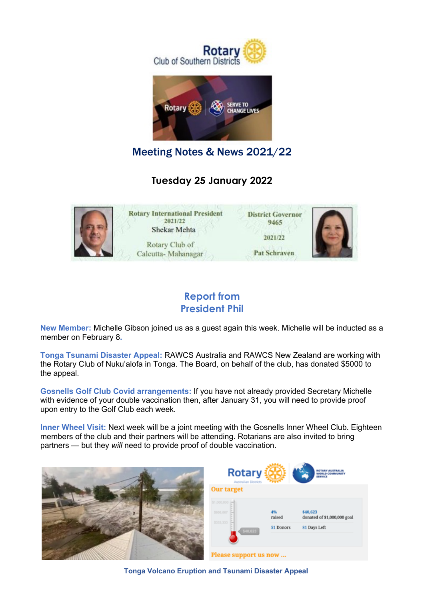



Meeting Notes & News 2021/22

**Tuesday 25 January 2022**



### **Report from President Phil**

**New Member:** Michelle Gibson joined us as a guest again this week. Michelle will be inducted as a member on February 8**.**

**Tonga Tsunami Disaster Appeal:** RAWCS Australia and RAWCS New Zealand are working with the Rotary Club of Nuku'alofa in Tonga. The Board, on behalf of the club, has donated \$5000 to the appeal.

**Gosnells Golf Club Covid arrangements:** If you have not already provided Secretary Michelle with evidence of your double vaccination then, after January 31, you will need to provide proof upon entry to the Golf Club each week.

**Inner Wheel Visit:** Next week will be a joint meeting with the Gosnells Inner Wheel Club. Eighteen members of the club and their partners will be attending. Rotarians are also invited to bring partners — but they *will* need to provide proof of double vaccination.



**Tonga Volcano Eruption and Tsunami Disaster Appeal**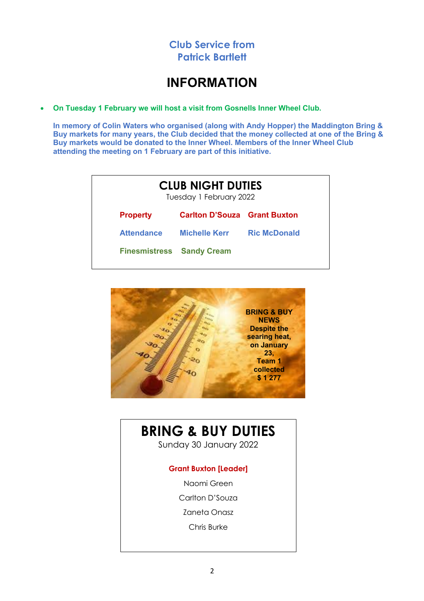

## **INFORMATION**

• **On Tuesday 1 February we will host a visit from Gosnells Inner Wheel Club.**

**In memory of Colin Waters who organised (along with Andy Hopper) the Maddington Bring & Buy markets for many years, the Club decided that the money collected at one of the Bring & Buy markets would be donated to the Inner Wheel. Members of the Inner Wheel Club attending the meeting on 1 February are part of this initiative.**

|                                  | <b>CLUB NIGHT DUTIES</b><br>Tuesday 1 February 2022 |                     |  |
|----------------------------------|-----------------------------------------------------|---------------------|--|
| <b>Property</b>                  | <b>Carlton D'Souza Grant Buxton</b>                 |                     |  |
| <b>Attendance</b>                | <b>Michelle Kerr</b>                                | <b>Ric McDonald</b> |  |
| <b>Finesmistress Sandy Cream</b> |                                                     |                     |  |



# **BRING & BUY DUTIES**

Sunday 30 January 2022

#### **Grant Buxton [Leader]**

- Naomi Green
- Carlton D'Souza
- Zaneta Onasz
	- Chris Burke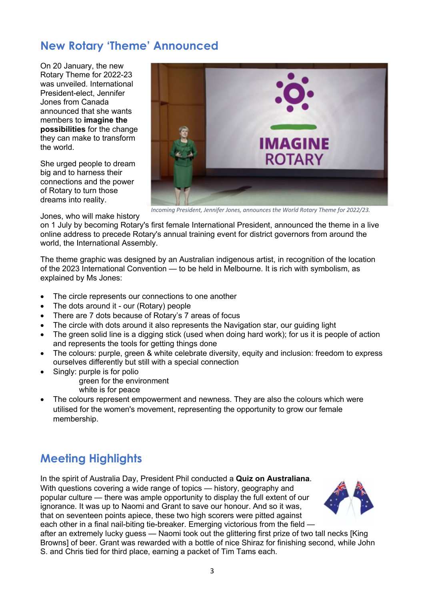## **New Rotary 'Theme' Announced**

On 20 January, the new Rotary Theme for 2022-23 was unveiled. International President-elect, Jennifer Jones from Canada announced that she wants members to **imagine the possibilities** for the change they can make to transform the world.

She urged people to dream big and to harness their connections and the power of Rotary to turn those dreams into reality.



*Incoming President, Jennifer Jones, announces the World Rotary Theme for 2022/23.*

Jones, who will make history

on 1 July by becoming Rotary's first female International President, announced the theme in a live online address to precede Rotary's annual training event for district governors from around the world, the International Assembly.

The theme graphic was designed by an Australian indigenous artist, in recognition of the location of the 2023 International Convention — to be held in Melbourne. It is rich with symbolism, as explained by Ms Jones:

- The circle represents our connections to one another
- The dots around it our (Rotary) people
- There are 7 dots because of Rotary's 7 areas of focus
- The circle with dots around it also represents the Navigation star, our guiding light
- The green solid line is a digging stick (used when doing hard work); for us it is people of action and represents the tools for getting things done
- The colours: purple, green & white celebrate diversity, equity and inclusion: freedom to express ourselves differently but still with a special connection
- Singly: purple is for polio

green for the environment

- white is for peace
- The colours represent empowerment and newness. They are also the colours which were utilised for the women's movement, representing the opportunity to grow our female membership.

# **Meeting Highlights**

In the spirit of Australia Day, President Phil conducted a **Quiz on Australiana**. With questions covering a wide range of topics — history, geography and popular culture — there was ample opportunity to display the full extent of our ignorance. It was up to Naomi and Grant to save our honour. And so it was, that on seventeen points apiece, these two high scorers were pitted against each other in a final nail-biting tie-breaker. Emerging victorious from the field —



after an extremely lucky guess — Naomi took out the glittering first prize of two tall necks [King Browns] of beer. Grant was rewarded with a bottle of nice Shiraz for finishing second, while John S. and Chris tied for third place, earning a packet of Tim Tams each.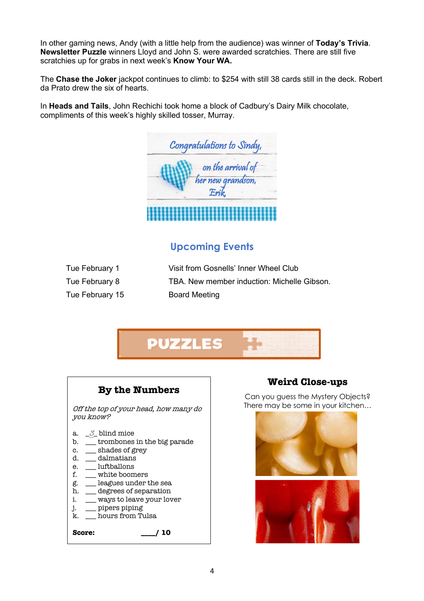In other gaming news, Andy (with a little help from the audience) was winner of **Today's Trivia**. **Newsletter Puzzle** winners Lloyd and John S. were awarded scratchies. There are still five scratchies up for grabs in next week's **Know Your WA.**

The **Chase the Joker** jackpot continues to climb: to \$254 with still 38 cards still in the deck. Robert da Prato drew the six of hearts.

In **Heads and Tails**, John Rechichi took home a block of Cadbury's Dairy Milk chocolate, compliments of this week's highly skilled tosser, Murray.

| Congratulations to Sindy,  |
|----------------------------|
| on the arrival of          |
| her new grandson,<br>Erik, |
|                            |

### **Upcoming Events**

| Tue February 1  | Visit from Gosnells' Inner Wheel Club       |
|-----------------|---------------------------------------------|
| Tue February 8  | TBA. New member induction: Michelle Gibson. |
| Tue February 15 | <b>Board Meeting</b>                        |



#### **By the Numbers**

Off the top of your head, how many do you know?

- a.  $\frac{3}{2}$  blind mice
- b. \_\_\_ trombones in the big parade
- c.  $\Box$  shades of grey
- d. \_\_\_ dalmatians
- e. luftballons
- f. \_\_\_ white boomers
- g. \_\_\_ leagues under the sea
- h. \_\_\_ degrees of separation
- i. \_\_\_ ways to leave your lover
- j. \_\_\_ pipers piping
- k. \_\_\_ hours from Tulsa

**Score: \_\_\_\_/ 10**

### **Weird Close-ups**

Can you guess the Mystery Objects? There may be some in your kitchen…